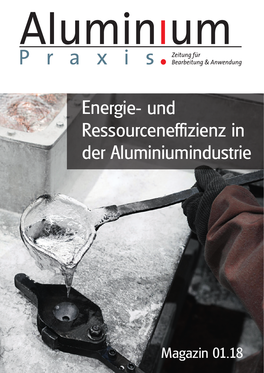# Aluminium a x i S Zeitung für<br>S Bearbeitung & Anwendung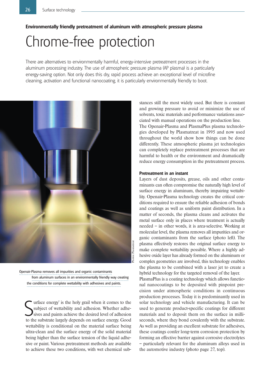# **Environmentally friendly pretreatment of aluminum with atmospheric pressure plasma**

# Chrome-free protection

There are alternatives to environmentally harmful, energy-intensive pretreatment processes in the aluminum processing industry. The use of atmospheric pressure plasma (AP plasma) is a particularly energy-saving option. Not only does this dry, rapid process achieve an exceptional level of microfine cleaning, activation and functional nanocoating, it is particularly environmentally friendly to boot.



Openair-Plasma removes all impurities and organic contaminants from aluminum surfaces in an environmentally friendly way creating the conditions for complete wettability with adhesives and paints.

Subject of wettability and adhesion. Whether adhesions of wettability and adhesion. Whether adhesions to the substrate largely depends on surface energy. Good urface energy' is the holy grail when it comes to the subject of wettability and adhesion. Whether adhesives and paints achieve the desired level of adhesion wettability is conditional on the material surface being ultra-clean and the surface energy of the solid material being higher than the surface tension of the liquid adhesive or paint. Various pretreatment methods are available to achieve these two conditions, with wet chemical substances still the most widely used. But there is constant and growing pressure to avoid or minimize the use of solvents, toxic materials and performance variations associated with manual operations on the production line. The Openair-Plasma and PlasmaPlus plasma technologies developed by Plasmatreat in 1995 and now used throughout the world show how things can be done differently. These atmospheric plasma jet technologies can completely replace pretreatment processes that are harmful to health or the environment and dramatically reduce energy consumption in the pretreatment process.

## **Pretreatment in an instant**

Layers of dust deposits, grease, oils and other contaminants can often compromise the naturally high level of surface energy in aluminum, thereby impairing wettability. Openair-Plasma technology creates the critical conditions required to ensure the reliable adhesion of bonds and coatings as well as uniform paint distribution. In a matter of seconds, the plasma cleans and activates the metal surface only in places where treatment is actually needed – in other words, it is area-selective. Working at molecular level, the plasma removes all impurities and organic contaminants from the surface (photo left). The plasma effectively restores the original surface energy to make complete wettability possible. Where a highly adhesive oxide layer has already formed on the aluminum or complex geometries are involved, this technology enables the plasma to be combined with a laser jet to create a hybrid technology for the targeted removal of the layer.

PlasmaPlus is a coating technology which allows functional nanocoatings to be deposited with pinpoint precision under atmospheric conditions in continuous production processes. Today it is predominantly used in solar technology and vehicle manufacturing. It can be used to generate product-specific coatings for different materials and to deposit them on the surface in milliseconds, where they bond covalently with the substrate. As well as providing an excellent substrate for adhesives, these coatings confer long-term corrosion protection by forming an effective barrier against corrosive electrolytes – particularly relevant for the aluminum alloys used in the automotive industry (photo page 27, top).